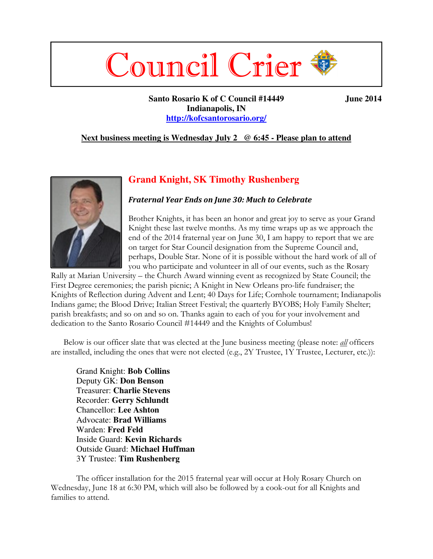# Council Crier

Santo Rosario K of C Council #14449 **June 2014 Indianapolis, IN http://kofcsantorosario.org/**

#### **Next business meeting is Wednesday July 2 @ 6:45 - Please plan to attend**

# **Grand Knight, SK Timothy Rushenberg**

#### *Fraternal Year Ends on June 30: Much to Celebrate*

Brother Knights, it has been an honor and great joy to serve as your Grand Knight these last twelve months. As my time wraps up as we approach the end of the 2014 fraternal year on June 30, I am happy to report that we are on target for Star Council designation from the Supreme Council and, perhaps, Double Star. None of it is possible without the hard work of all of you who participate and volunteer in all of our events, such as the Rosary

Rally at Marian University – the Church Award winning event as recognized by State Council; the First Degree ceremonies; the parish picnic; A Knight in New Orleans pro-life fundraiser; the Knights of Reflection during Advent and Lent; 40 Days for Life; Cornhole tournament; Indianapolis Indians game; the Blood Drive; Italian Street Festival; the quarterly BYOBS; Holy Family Shelter; parish breakfasts; and so on and so on. Thanks again to each of you for your involvement and dedication to the Santo Rosario Council #14449 and the Knights of Columbus!

 Below is our officer slate that was elected at the June business meeting (please note: *all* officers are installed, including the ones that were not elected (e.g., 2Y Trustee, 1Y Trustee, Lecturer, etc.)):

Grand Knight: **Bob Collins** Deputy GK: **Don Benson** Treasurer: **Charlie Stevens** Recorder: **Gerry Schlundt** Chancellor: **Lee Ashton** Advocate: **Brad Williams** Warden: **Fred Feld** Inside Guard: **Kevin Richards** Outside Guard: **Michael Huffman** 3Y Trustee: **Tim Rushenberg**

The officer installation for the 2015 fraternal year will occur at Holy Rosary Church on Wednesday, June 18 at 6:30 PM, which will also be followed by a cook-out for all Knights and families to attend.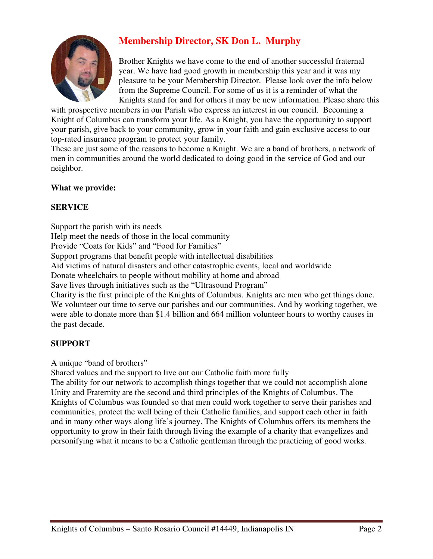

# **Membership Director, SK Don L. Murphy**

Brother Knights we have come to the end of another successful fraternal year. We have had good growth in membership this year and it was my pleasure to be your Membership Director. Please look over the info below from the Supreme Council. For some of us it is a reminder of what the Knights stand for and for others it may be new information. Please share this

with prospective members in our Parish who express an interest in our council. Becoming a Knight of Columbus can transform your life. As a Knight, you have the opportunity to support your parish, give back to your community, grow in your faith and gain exclusive access to our top-rated insurance program to protect your family.

These are just some of the reasons to become a Knight. We are a band of brothers, a network of men in communities around the world dedicated to doing good in the service of God and our neighbor.

# **What we provide:**

## **SERVICE**

Support the parish with its needs Help meet the needs of those in the local community Provide "Coats for Kids" and "Food for Families" Support programs that benefit people with intellectual disabilities Aid victims of natural disasters and other catastrophic events, local and worldwide Donate wheelchairs to people without mobility at home and abroad Save lives through initiatives such as the "Ultrasound Program" Charity is the first principle of the Knights of Columbus. Knights are men who get things done. We volunteer our time to serve our parishes and our communities. And by working together, we were able to donate more than \$1.4 billion and 664 million volunteer hours to worthy causes in the past decade.

# **SUPPORT**

A unique "band of brothers"

Shared values and the support to live out our Catholic faith more fully

The ability for our network to accomplish things together that we could not accomplish alone Unity and Fraternity are the second and third principles of the Knights of Columbus. The Knights of Columbus was founded so that men could work together to serve their parishes and communities, protect the well being of their Catholic families, and support each other in faith and in many other ways along life's journey. The Knights of Columbus offers its members the opportunity to grow in their faith through living the example of a charity that evangelizes and personifying what it means to be a Catholic gentleman through the practicing of good works.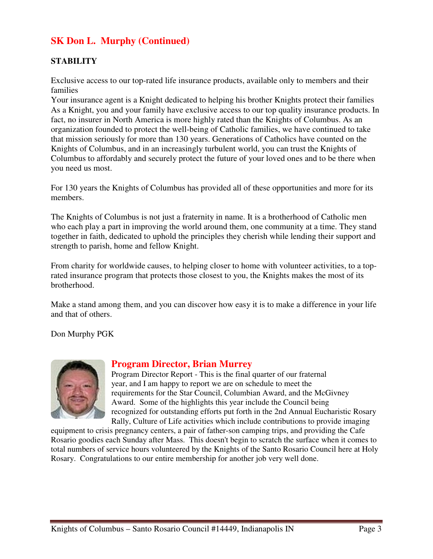# **SK Don L. Murphy (Continued)**

### **STABILITY**

Exclusive access to our top-rated life insurance products, available only to members and their families

Your insurance agent is a Knight dedicated to helping his brother Knights protect their families As a Knight, you and your family have exclusive access to our top quality insurance products. In fact, no insurer in North America is more highly rated than the Knights of Columbus. As an organization founded to protect the well-being of Catholic families, we have continued to take that mission seriously for more than 130 years. Generations of Catholics have counted on the Knights of Columbus, and in an increasingly turbulent world, you can trust the Knights of Columbus to affordably and securely protect the future of your loved ones and to be there when you need us most.

For 130 years the Knights of Columbus has provided all of these opportunities and more for its members.

The Knights of Columbus is not just a fraternity in name. It is a brotherhood of Catholic men who each play a part in improving the world around them, one community at a time. They stand together in faith, dedicated to uphold the principles they cherish while lending their support and strength to parish, home and fellow Knight.

From charity for worldwide causes, to helping closer to home with volunteer activities, to a toprated insurance program that protects those closest to you, the Knights makes the most of its brotherhood.

Make a stand among them, and you can discover how easy it is to make a difference in your life and that of others.

Don Murphy PGK



# **Program Director, Brian Murrey**

Program Director Report - This is the final quarter of our fraternal year, and I am happy to report we are on schedule to meet the requirements for the Star Council, Columbian Award, and the McGivney Award. Some of the highlights this year include the Council being recognized for outstanding efforts put forth in the 2nd Annual Eucharistic Rosary Rally, Culture of Life activities which include contributions to provide imaging

equipment to crisis pregnancy centers, a pair of father-son camping trips, and providing the Cafe Rosario goodies each Sunday after Mass. This doesn't begin to scratch the surface when it comes to total numbers of service hours volunteered by the Knights of the Santo Rosario Council here at Holy Rosary. Congratulations to our entire membership for another job very well done.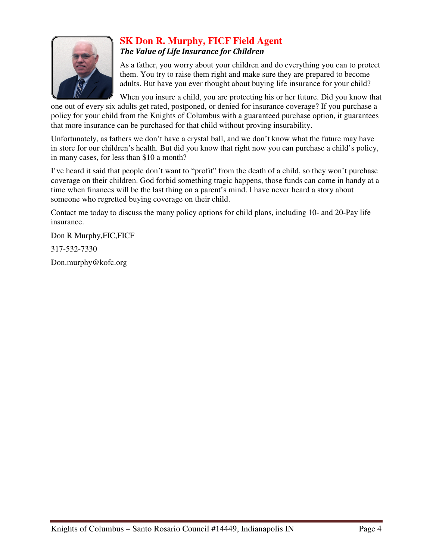

# **SK Don R. Murphy, FICF Field Agent**  *The Value of Life Insurance for Children*

As a father, you worry about your children and do everything you can to protect them. You try to raise them right and make sure they are prepared to become adults. But have you ever thought about buying life insurance for your child?

When you insure a child, you are protecting his or her future. Did you know that one out of every six adults get rated, postponed, or denied for insurance coverage? If you purchase a policy for your child from the Knights of Columbus with a guaranteed purchase option, it guarantees that more insurance can be purchased for that child without proving insurability.

Unfortunately, as fathers we don't have a crystal ball, and we don't know what the future may have in store for our children's health. But did you know that right now you can purchase a child's policy, in many cases, for less than \$10 a month?

I've heard it said that people don't want to "profit" from the death of a child, so they won't purchase coverage on their children. God forbid something tragic happens, those funds can come in handy at a time when finances will be the last thing on a parent's mind. I have never heard a story about someone who regretted buying coverage on their child.

Contact me today to discuss the many policy options for child plans, including 10- and 20-Pay life insurance.

Don R Murphy,FIC,FICF

317-532-7330

Don.murphy@kofc.org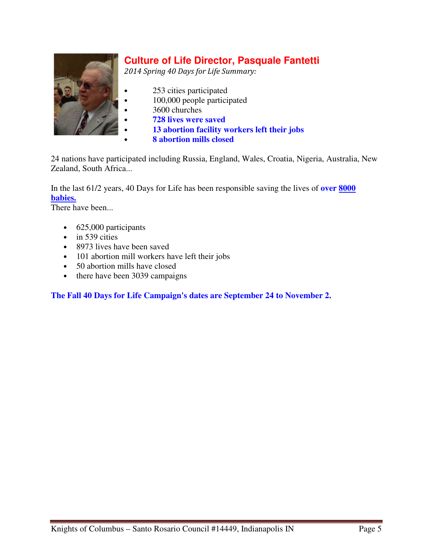

# **Culture of Life Director, Pasquale Fantetti**

*2014 Spring 40 Days for Life Summary:*

- 253 cities participated
	- 100,000 people participated
	- 3600 churches
- **728 lives were saved**
- **13 abortion facility workers left their jobs**
- **8 abortion mills closed**

24 nations have participated including Russia, England, Wales, Croatia, Nigeria, Australia, New Zealand, South Africa...

In the last 61/2 years, 40 Days for Life has been responsible saving the lives of **over 8000 babies.**

There have been...

- 625,000 participants
- in 539 cities
- 8973 lives have been saved
- 101 abortion mill workers have left their jobs
- 50 abortion mills have closed
- there have been 3039 campaigns

**The Fall 40 Days for Life Campaign's dates are September 24 to November 2.**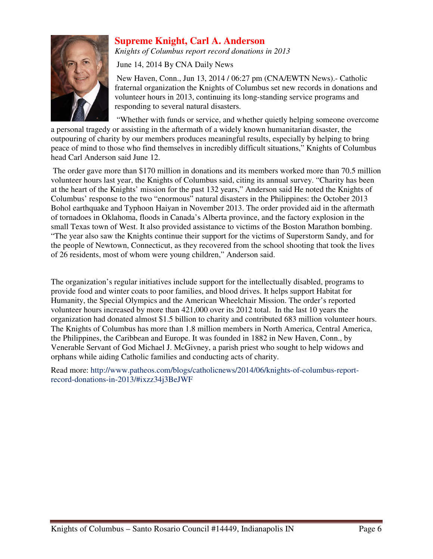

# **Supreme Knight, Carl A. Anderson**

*Knights of Columbus report record donations in 2013*

June 14, 2014 By CNA Daily News

 New Haven, Conn., Jun 13, 2014 / 06:27 pm (CNA/EWTN News).- Catholic fraternal organization the Knights of Columbus set new records in donations and volunteer hours in 2013, continuing its long-standing service programs and responding to several natural disasters.

"Whether with funds or service, and whether quietly helping someone overcome

a personal tragedy or assisting in the aftermath of a widely known humanitarian disaster, the outpouring of charity by our members produces meaningful results, especially by helping to bring peace of mind to those who find themselves in incredibly difficult situations," Knights of Columbus head Carl Anderson said June 12.

 The order gave more than \$170 million in donations and its members worked more than 70.5 million volunteer hours last year, the Knights of Columbus said, citing its annual survey. "Charity has been at the heart of the Knights' mission for the past 132 years," Anderson said He noted the Knights of Columbus' response to the two "enormous" natural disasters in the Philippines: the October 2013 Bohol earthquake and Typhoon Haiyan in November 2013. The order provided aid in the aftermath of tornadoes in Oklahoma, floods in Canada's Alberta province, and the factory explosion in the small Texas town of West. It also provided assistance to victims of the Boston Marathon bombing. "The year also saw the Knights continue their support for the victims of Superstorm Sandy, and for the people of Newtown, Connecticut, as they recovered from the school shooting that took the lives of 26 residents, most of whom were young children," Anderson said.

The organization's regular initiatives include support for the intellectually disabled, programs to provide food and winter coats to poor families, and blood drives. It helps support Habitat for Humanity, the Special Olympics and the American Wheelchair Mission. The order's reported volunteer hours increased by more than 421,000 over its 2012 total. In the last 10 years the organization had donated almost \$1.5 billion to charity and contributed 683 million volunteer hours. The Knights of Columbus has more than 1.8 million members in North America, Central America, the Philippines, the Caribbean and Europe. It was founded in 1882 in New Haven, Conn., by Venerable Servant of God Michael J. McGivney, a parish priest who sought to help widows and orphans while aiding Catholic families and conducting acts of charity.

Read more: http://www.patheos.com/blogs/catholicnews/2014/06/knights-of-columbus-reportrecord-donations-in-2013/#ixzz34j3BeJWF